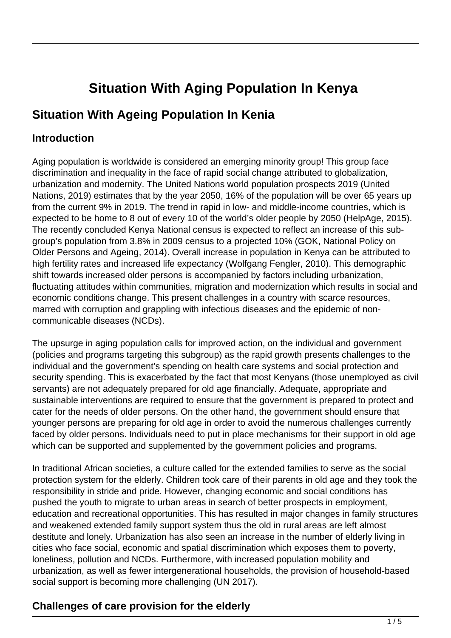# **Situation With Aging Population In Kenya**

## **Situation With Ageing Population In Kenia**

#### **Introduction**

Aging population is worldwide is considered an emerging minority group! This group face discrimination and inequality in the face of rapid social change attributed to globalization, urbanization and modernity. The United Nations world population prospects 2019 (United Nations, 2019) estimates that by the year 2050, 16% of the population will be over 65 years up from the current 9% in 2019. The trend in rapid in low- and middle-income countries, which is expected to be home to 8 out of every 10 of the world's older people by 2050 (HelpAge, 2015). The recently concluded Kenya National census is expected to reflect an increase of this subgroup's population from 3.8% in 2009 census to a projected 10% (GOK, National Policy on Older Persons and Ageing, 2014). Overall increase in population in Kenya can be attributed to high fertility rates and increased life expectancy (Wolfgang Fengler, 2010). This demographic shift towards increased older persons is accompanied by factors including urbanization, fluctuating attitudes within communities, migration and modernization which results in social and economic conditions change. This present challenges in a country with scarce resources, marred with corruption and grappling with infectious diseases and the epidemic of noncommunicable diseases (NCDs).

The upsurge in aging population calls for improved action, on the individual and government (policies and programs targeting this subgroup) as the rapid growth presents challenges to the individual and the government's spending on health care systems and social protection and security spending. This is exacerbated by the fact that most Kenyans (those unemployed as civil servants) are not adequately prepared for old age financially. Adequate, appropriate and sustainable interventions are required to ensure that the government is prepared to protect and cater for the needs of older persons. On the other hand, the government should ensure that younger persons are preparing for old age in order to avoid the numerous challenges currently faced by older persons. Individuals need to put in place mechanisms for their support in old age which can be supported and supplemented by the government policies and programs.

In traditional African societies, a culture called for the extended families to serve as the social protection system for the elderly. Children took care of their parents in old age and they took the responsibility in stride and pride. However, changing economic and social conditions has pushed the youth to migrate to urban areas in search of better prospects in employment, education and recreational opportunities. This has resulted in major changes in family structures and weakened extended family support system thus the old in rural areas are left almost destitute and lonely. Urbanization has also seen an increase in the number of elderly living in cities who face social, economic and spatial discrimination which exposes them to poverty, loneliness, pollution and NCDs. Furthermore, with increased population mobility and urbanization, as well as fewer intergenerational households, the provision of household-based social support is becoming more challenging (UN 2017).

## **Challenges of care provision for the elderly**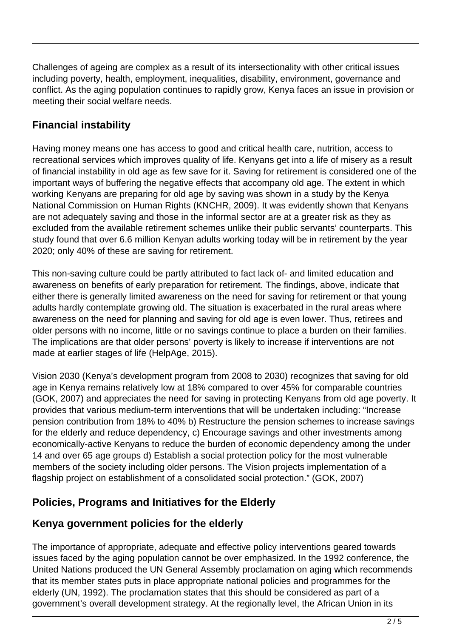Challenges of ageing are complex as a result of its intersectionality with other critical issues including poverty, health, employment, inequalities, disability, environment, governance and conflict. As the aging population continues to rapidly grow, Kenya faces an issue in provision or meeting their social welfare needs.

## **Financial instability**

Having money means one has access to good and critical health care, nutrition, access to recreational services which improves quality of life. Kenyans get into a life of misery as a result of financial instability in old age as few save for it. Saving for retirement is considered one of the important ways of buffering the negative effects that accompany old age. The extent in which working Kenyans are preparing for old age by saving was shown in a study by the Kenya National Commission on Human Rights (KNCHR, 2009). It was evidently shown that Kenyans are not adequately saving and those in the informal sector are at a greater risk as they as excluded from the available retirement schemes unlike their public servants' counterparts. This study found that over 6.6 million Kenyan adults working today will be in retirement by the year 2020; only 40% of these are saving for retirement.

This non-saving culture could be partly attributed to fact lack of- and limited education and awareness on benefits of early preparation for retirement. The findings, above, indicate that either there is generally limited awareness on the need for saving for retirement or that young adults hardly contemplate growing old. The situation is exacerbated in the rural areas where awareness on the need for planning and saving for old age is even lower. Thus, retirees and older persons with no income, little or no savings continue to place a burden on their families. The implications are that older persons' poverty is likely to increase if interventions are not made at earlier stages of life (HelpAge, 2015).

Vision 2030 (Kenya's development program from 2008 to 2030) recognizes that saving for old age in Kenya remains relatively low at 18% compared to over 45% for comparable countries (GOK, 2007) and appreciates the need for saving in protecting Kenyans from old age poverty. It provides that various medium-term interventions that will be undertaken including: "Increase pension contribution from 18% to 40% b) Restructure the pension schemes to increase savings for the elderly and reduce dependency, c) Encourage savings and other investments among economically-active Kenyans to reduce the burden of economic dependency among the under 14 and over 65 age groups d) Establish a social protection policy for the most vulnerable members of the society including older persons. The Vision projects implementation of a flagship project on establishment of a consolidated social protection." (GOK, 2007)

## **Policies, Programs and Initiatives for the Elderly**

#### **Kenya government policies for the elderly**

The importance of appropriate, adequate and effective policy interventions geared towards issues faced by the aging population cannot be over emphasized. In the 1992 conference, the United Nations produced the UN General Assembly proclamation on aging which recommends that its member states puts in place appropriate national policies and programmes for the elderly (UN, 1992). The proclamation states that this should be considered as part of a government's overall development strategy. At the regionally level, the African Union in its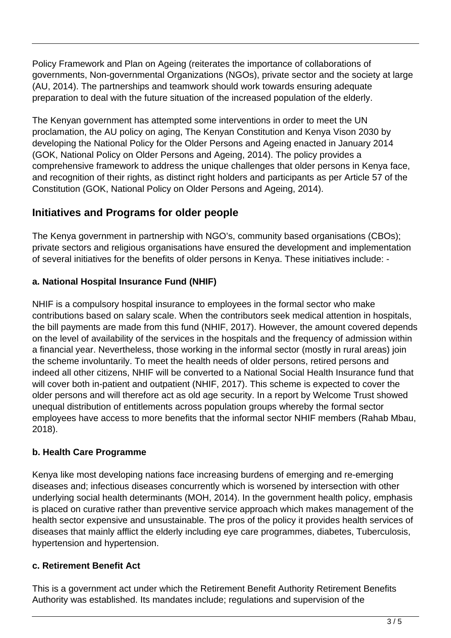Policy Framework and Plan on Ageing (reiterates the importance of collaborations of governments, Non-governmental Organizations (NGOs), private sector and the society at large (AU, 2014). The partnerships and teamwork should work towards ensuring adequate preparation to deal with the future situation of the increased population of the elderly.

The Kenyan government has attempted some interventions in order to meet the UN proclamation, the AU policy on aging, The Kenyan Constitution and Kenya Vison 2030 by developing the National Policy for the Older Persons and Ageing enacted in January 2014 (GOK, National Policy on Older Persons and Ageing, 2014). The policy provides a comprehensive framework to address the unique challenges that older persons in Kenya face, and recognition of their rights, as distinct right holders and participants as per Article 57 of the Constitution (GOK, National Policy on Older Persons and Ageing, 2014).

### **Initiatives and Programs for older people**

The Kenya government in partnership with NGO's, community based organisations (CBOs); private sectors and religious organisations have ensured the development and implementation of several initiatives for the benefits of older persons in Kenya. These initiatives include: -

#### **a. National Hospital Insurance Fund (NHIF)**

NHIF is a compulsory hospital insurance to employees in the formal sector who make contributions based on salary scale. When the contributors seek medical attention in hospitals, the bill payments are made from this fund (NHIF, 2017). However, the amount covered depends on the level of availability of the services in the hospitals and the frequency of admission within a financial year. Nevertheless, those working in the informal sector (mostly in rural areas) join the scheme involuntarily. To meet the health needs of older persons, retired persons and indeed all other citizens, NHIF will be converted to a National Social Health Insurance fund that will cover both in-patient and outpatient (NHIF, 2017). This scheme is expected to cover the older persons and will therefore act as old age security. In a report by Welcome Trust showed unequal distribution of entitlements across population groups whereby the formal sector employees have access to more benefits that the informal sector NHIF members (Rahab Mbau, 2018).

#### **b. Health Care Programme**

Kenya like most developing nations face increasing burdens of emerging and re-emerging diseases and; infectious diseases concurrently which is worsened by intersection with other underlying social health determinants (MOH, 2014). In the government health policy, emphasis is placed on curative rather than preventive service approach which makes management of the health sector expensive and unsustainable. The pros of the policy it provides health services of diseases that mainly afflict the elderly including eye care programmes, diabetes, Tuberculosis, hypertension and hypertension.

#### **c. Retirement Benefit Act**

This is a government act under which the Retirement Benefit Authority Retirement Benefits Authority was established. Its mandates include; regulations and supervision of the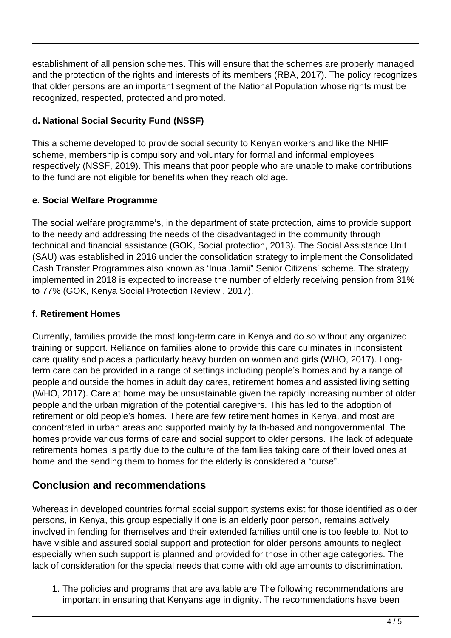establishment of all pension schemes. This will ensure that the schemes are properly managed and the protection of the rights and interests of its members (RBA, 2017). The policy recognizes that older persons are an important segment of the National Population whose rights must be recognized, respected, protected and promoted.

#### **d. National Social Security Fund (NSSF)**

This a scheme developed to provide social security to Kenyan workers and like the NHIF scheme, membership is compulsory and voluntary for formal and informal employees respectively (NSSF, 2019). This means that poor people who are unable to make contributions to the fund are not eligible for benefits when they reach old age.

#### **e. Social Welfare Programme**

The social welfare programme's, in the department of state protection, aims to provide support to the needy and addressing the needs of the disadvantaged in the community through technical and financial assistance (GOK, Social protection, 2013). The Social Assistance Unit (SAU) was established in 2016 under the consolidation strategy to implement the Consolidated Cash Transfer Programmes also known as 'Inua Jamii" Senior Citizens' scheme. The strategy implemented in 2018 is expected to increase the number of elderly receiving pension from 31% to 77% (GOK, Kenya Social Protection Review , 2017).

#### **f. Retirement Homes**

Currently, families provide the most long-term care in Kenya and do so without any organized training or support. Reliance on families alone to provide this care culminates in inconsistent care quality and places a particularly heavy burden on women and girls (WHO, 2017). Longterm care can be provided in a range of settings including people's homes and by a range of people and outside the homes in adult day cares, retirement homes and assisted living setting (WHO, 2017). Care at home may be unsustainable given the rapidly increasing number of older people and the urban migration of the potential caregivers. This has led to the adoption of retirement or old people's homes. There are few retirement homes in Kenya, and most are concentrated in urban areas and supported mainly by faith-based and nongovernmental. The homes provide various forms of care and social support to older persons. The lack of adequate retirements homes is partly due to the culture of the families taking care of their loved ones at home and the sending them to homes for the elderly is considered a "curse".

#### **Conclusion and recommendations**

Whereas in developed countries formal social support systems exist for those identified as older persons, in Kenya, this group especially if one is an elderly poor person, remains actively involved in fending for themselves and their extended families until one is too feeble to. Not to have visible and assured social support and protection for older persons amounts to neglect especially when such support is planned and provided for those in other age categories. The lack of consideration for the special needs that come with old age amounts to discrimination.

1. The policies and programs that are available are The following recommendations are important in ensuring that Kenyans age in dignity. The recommendations have been